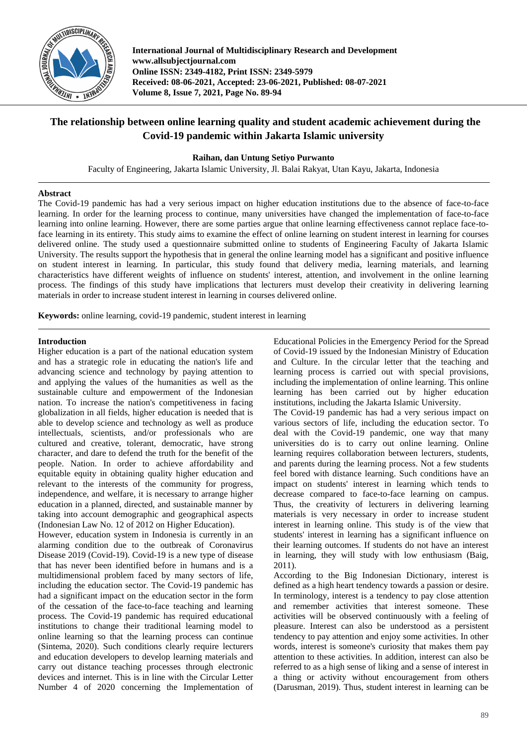

**International Journal of Multidisciplinary Research and Development www.allsubjectjournal.com Online ISSN: 2349-4182, Print ISSN: 2349-5979 Received: 08-06-2021, Accepted: 23-06-2021, Published: 08-07-2021 Volume 8, Issue 7, 2021, Page No. 89-94**

# **The relationship between online learning quality and student academic achievement during the Covid-19 pandemic within Jakarta Islamic university**

**Raihan, dan Untung Setiyo Purwanto**

Faculty of Engineering, Jakarta Islamic University, Jl. Balai Rakyat, Utan Kayu, Jakarta, Indonesia

### **Abstract**

The Covid-19 pandemic has had a very serious impact on higher education institutions due to the absence of face-to-face learning. In order for the learning process to continue, many universities have changed the implementation of face-to-face learning into online learning. However, there are some parties argue that online learning effectiveness cannot replace face-toface learning in its entirety. This study aims to examine the effect of online learning on student interest in learning for courses delivered online. The study used a questionnaire submitted online to students of Engineering Faculty of Jakarta Islamic University. The results support the hypothesis that in general the online learning model has a significant and positive influence on student interest in learning. In particular, this study found that delivery media, learning materials, and learning characteristics have different weights of influence on students' interest, attention, and involvement in the online learning process. The findings of this study have implications that lecturers must develop their creativity in delivering learning materials in order to increase student interest in learning in courses delivered online.

**Keywords:** online learning, covid-19 pandemic, student interest in learning

### **Introduction**

Higher education is a part of the national education system and has a strategic role in educating the nation's life and advancing science and technology by paying attention to and applying the values of the humanities as well as the sustainable culture and empowerment of the Indonesian nation. To increase the nation's competitiveness in facing globalization in all fields, higher education is needed that is able to develop science and technology as well as produce intellectuals, scientists, and/or professionals who are cultured and creative, tolerant, democratic, have strong character, and dare to defend the truth for the benefit of the people. Nation. In order to achieve affordability and equitable equity in obtaining quality higher education and relevant to the interests of the community for progress, independence, and welfare, it is necessary to arrange higher education in a planned, directed, and sustainable manner by taking into account demographic and geographical aspects (Indonesian Law No. 12 of 2012 on Higher Education).

However, education system in Indonesia is currently in an alarming condition due to the outbreak of Coronavirus Disease 2019 (Covid-19). Covid-19 is a new type of disease that has never been identified before in humans and is a multidimensional problem faced by many sectors of life, including the education sector. The Covid-19 pandemic has had a significant impact on the education sector in the form of the cessation of the face-to-face teaching and learning process. The Covid-19 pandemic has required educational institutions to change their traditional learning model to online learning so that the learning process can continue (Sintema, 2020). Such conditions clearly require lecturers and education developers to develop learning materials and carry out distance teaching processes through electronic devices and internet. This is in line with the Circular Letter Number 4 of 2020 concerning the Implementation of Educational Policies in the Emergency Period for the Spread of Covid-19 issued by the Indonesian Ministry of Education and Culture. In the circular letter that the teaching and learning process is carried out with special provisions, including the implementation of online learning. This online learning has been carried out by higher education institutions, including the Jakarta Islamic University.

The Covid-19 pandemic has had a very serious impact on various sectors of life, including the education sector. To deal with the Covid-19 pandemic, one way that many universities do is to carry out online learning. Online learning requires collaboration between lecturers, students, and parents during the learning process. Not a few students feel bored with distance learning. Such conditions have an impact on students' interest in learning which tends to decrease compared to face-to-face learning on campus. Thus, the creativity of lecturers in delivering learning materials is very necessary in order to increase student interest in learning online. This study is of the view that students' interest in learning has a significant influence on their learning outcomes. If students do not have an interest in learning, they will study with low enthusiasm (Baig, 2011).

According to the Big Indonesian Dictionary, interest is defined as a high heart tendency towards a passion or desire. In terminology, interest is a tendency to pay close attention and remember activities that interest someone. These activities will be observed continuously with a feeling of pleasure. Interest can also be understood as a persistent tendency to pay attention and enjoy some activities. In other words, interest is someone's curiosity that makes them pay attention to these activities. In addition, interest can also be referred to as a high sense of liking and a sense of interest in a thing or activity without encouragement from others (Darusman, 2019). Thus, student interest in learning can be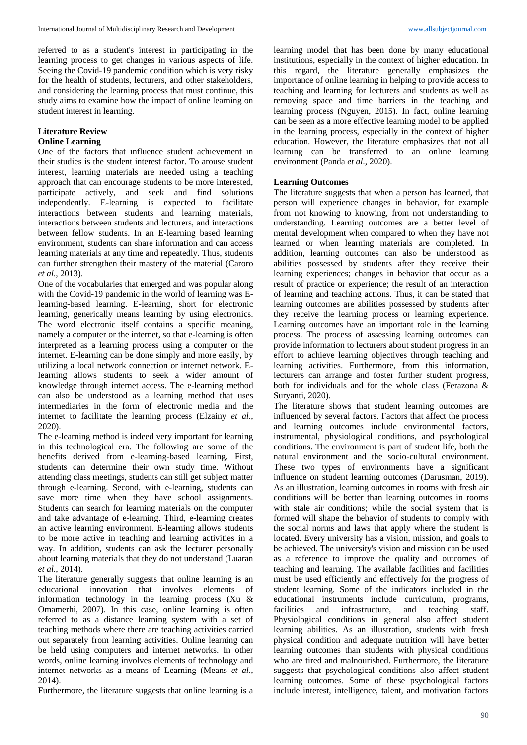referred to as a student's interest in participating in the learning process to get changes in various aspects of life. Seeing the Covid-19 pandemic condition which is very risky for the health of students, lecturers, and other stakeholders, and considering the learning process that must continue, this study aims to examine how the impact of online learning on student interest in learning.

## **Literature Review**

### **Online Learning**

One of the factors that influence student achievement in their studies is the student interest factor. To arouse student interest, learning materials are needed using a teaching approach that can encourage students to be more interested, participate actively, and seek and find solutions independently. E-learning is expected to facilitate interactions between students and learning materials, interactions between students and lecturers, and interactions between fellow students. In an E-learning based learning environment, students can share information and can access learning materials at any time and repeatedly. Thus, students can further strengthen their mastery of the material (Caroro *et al*., 2013).

One of the vocabularies that emerged and was popular along with the Covid-19 pandemic in the world of learning was Elearning-based learning. E-learning, short for electronic learning, generically means learning by using electronics. The word electronic itself contains a specific meaning, namely a computer or the internet, so that e-learning is often interpreted as a learning process using a computer or the internet. E-learning can be done simply and more easily, by utilizing a local network connection or internet network. Elearning allows students to seek a wider amount of knowledge through internet access. The e-learning method can also be understood as a learning method that uses intermediaries in the form of electronic media and the internet to facilitate the learning process (Elzainy *et al*., 2020).

The e-learning method is indeed very important for learning in this technological era. The following are some of the benefits derived from e-learning-based learning. First, students can determine their own study time. Without attending class meetings, students can still get subject matter through e-learning. Second, with e-learning, students can save more time when they have school assignments. Students can search for learning materials on the computer and take advantage of e-learning. Third, e-learning creates an active learning environment. E-learning allows students to be more active in teaching and learning activities in a way. In addition, students can ask the lecturer personally about learning materials that they do not understand (Luaran *et al*., 2014).

The literature generally suggests that online learning is an educational innovation that involves elements of information technology in the learning process (Xu & Omamerhi, 2007). In this case, online learning is often referred to as a distance learning system with a set of teaching methods where there are teaching activities carried out separately from learning activities. Online learning can be held using computers and internet networks. In other words, online learning involves elements of technology and internet networks as a means of Learning (Means *et al*., 2014).

Furthermore, the literature suggests that online learning is a

learning model that has been done by many educational institutions, especially in the context of higher education. In this regard, the literature generally emphasizes the importance of online learning in helping to provide access to teaching and learning for lecturers and students as well as removing space and time barriers in the teaching and learning process (Nguyen, 2015). In fact, online learning can be seen as a more effective learning model to be applied in the learning process, especially in the context of higher education. However, the literature emphasizes that not all learning can be transferred to an online learning environment (Panda *et al*., 2020).

#### **Learning Outcomes**

The literature suggests that when a person has learned, that person will experience changes in behavior, for example from not knowing to knowing, from not understanding to understanding. Learning outcomes are a better level of mental development when compared to when they have not learned or when learning materials are completed. In addition, learning outcomes can also be understood as abilities possessed by students after they receive their learning experiences; changes in behavior that occur as a result of practice or experience; the result of an interaction of learning and teaching actions. Thus, it can be stated that learning outcomes are abilities possessed by students after they receive the learning process or learning experience. Learning outcomes have an important role in the learning process. The process of assessing learning outcomes can provide information to lecturers about student progress in an effort to achieve learning objectives through teaching and learning activities. Furthermore, from this information, lecturers can arrange and foster further student progress, both for individuals and for the whole class (Ferazona & Suryanti, 2020).

The literature shows that student learning outcomes are influenced by several factors. Factors that affect the process and learning outcomes include environmental factors, instrumental, physiological conditions, and psychological conditions. The environment is part of student life, both the natural environment and the socio-cultural environment. These two types of environments have a significant influence on student learning outcomes (Darusman, 2019). As an illustration, learning outcomes in rooms with fresh air conditions will be better than learning outcomes in rooms with stale air conditions; while the social system that is formed will shape the behavior of students to comply with the social norms and laws that apply where the student is located. Every university has a vision, mission, and goals to be achieved. The university's vision and mission can be used as a reference to improve the quality and outcomes of teaching and learning. The available facilities and facilities must be used efficiently and effectively for the progress of student learning. Some of the indicators included in the educational instruments include curriculum, programs, facilities and infrastructure, and teaching staff. Physiological conditions in general also affect student learning abilities. As an illustration, students with fresh physical condition and adequate nutrition will have better learning outcomes than students with physical conditions who are tired and malnourished. Furthermore, the literature suggests that psychological conditions also affect student learning outcomes. Some of these psychological factors include interest, intelligence, talent, and motivation factors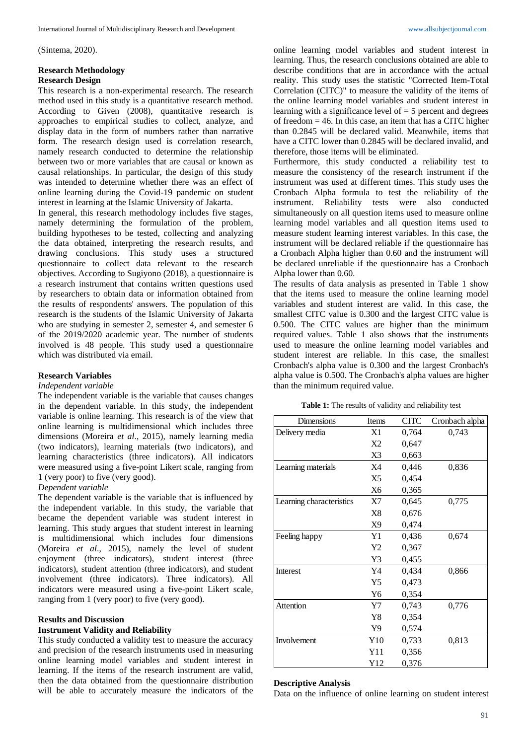(Sintema, 2020).

# **Research Methodology**

### **Research Design**

This research is a non-experimental research. The research method used in this study is a quantitative research method. According to Given (2008), quantitative research is approaches to empirical studies to collect, analyze, and display data in the form of numbers rather than narrative form. The research design used is correlation research, namely research conducted to determine the relationship between two or more variables that are causal or known as causal relationships. In particular, the design of this study was intended to determine whether there was an effect of online learning during the Covid-19 pandemic on student interest in learning at the Islamic University of Jakarta.

In general, this research methodology includes five stages, namely determining the formulation of the problem, building hypotheses to be tested, collecting and analyzing the data obtained, interpreting the research results, and drawing conclusions. This study uses a structured questionnaire to collect data relevant to the research objectives. According to Sugiyono (2018), a questionnaire is a research instrument that contains written questions used by researchers to obtain data or information obtained from the results of respondents' answers. The population of this research is the students of the Islamic University of Jakarta who are studying in semester 2, semester 4, and semester 6 of the 2019/2020 academic year. The number of students involved is 48 people. This study used a questionnaire which was distributed via email.

## **Research Variables**

### *Independent variable*

The independent variable is the variable that causes changes in the dependent variable. In this study, the independent variable is online learning. This research is of the view that online learning is multidimensional which includes three dimensions (Moreira *et al*., 2015), namely learning media (two indicators), learning materials (two indicators), and learning characteristics (three indicators). All indicators were measured using a five-point Likert scale, ranging from 1 (very poor) to five (very good).

*Dependent variable*

The dependent variable is the variable that is influenced by the independent variable. In this study, the variable that became the dependent variable was student interest in learning. This study argues that student interest in learning is multidimensional which includes four dimensions (Moreira *et al*., 2015), namely the level of student enjoyment (three indicators), student interest (three indicators), student attention (three indicators), and student involvement (three indicators). Three indicators). All indicators were measured using a five-point Likert scale, ranging from 1 (very poor) to five (very good).

## **Results and Discussion**

## **Instrument Validity and Reliability**

This study conducted a validity test to measure the accuracy and precision of the research instruments used in measuring online learning model variables and student interest in learning. If the items of the research instrument are valid, then the data obtained from the questionnaire distribution will be able to accurately measure the indicators of the

online learning model variables and student interest in learning. Thus, the research conclusions obtained are able to describe conditions that are in accordance with the actual reality. This study uses the statistic "Corrected Item-Total Correlation (CITC)" to measure the validity of the items of the online learning model variables and student interest in learning with a significance level of  $=$  5 percent and degrees of freedom  $= 46$ . In this case, an item that has a CITC higher than 0.2845 will be declared valid. Meanwhile, items that have a CITC lower than 0.2845 will be declared invalid, and therefore, those items will be eliminated.

Furthermore, this study conducted a reliability test to measure the consistency of the research instrument if the instrument was used at different times. This study uses the Cronbach Alpha formula to test the reliability of the instrument. Reliability tests were also conducted simultaneously on all question items used to measure online learning model variables and all question items used to measure student learning interest variables. In this case, the instrument will be declared reliable if the questionnaire has a Cronbach Alpha higher than 0.60 and the instrument will be declared unreliable if the questionnaire has a Cronbach Alpha lower than 0.60.

The results of data analysis as presented in Table 1 show that the items used to measure the online learning model variables and student interest are valid. In this case, the smallest CITC value is 0.300 and the largest CITC value is 0.500. The CITC values are higher than the minimum required values. Table 1 also shows that the instruments used to measure the online learning model variables and student interest are reliable. In this case, the smallest Cronbach's alpha value is 0.300 and the largest Cronbach's alpha value is 0.500. The Cronbach's alpha values are higher than the minimum required value.

**Table 1:** The results of validity and reliability test

| Dimensions               | Items          | <b>CITC</b> | Cronbach alpha |
|--------------------------|----------------|-------------|----------------|
| Delivery media           | X1             | 0,764       | 0,743          |
|                          | X <sub>2</sub> | 0,647       |                |
|                          | X3             | 0,663       |                |
| Learning materials       | X4             | 0,446       | 0,836          |
|                          | X5             | 0,454       |                |
|                          | X6             | 0,365       |                |
| Learning characteristics | X7             | 0.645       | 0,775          |
|                          | X8             | 0,676       |                |
|                          | X9             | 0,474       |                |
| Feeling happy            | Y1             | 0,436       | 0,674          |
|                          | Y2             | 0,367       |                |
|                          | Y3             | 0,455       |                |
| Interest                 | Y4             | 0,434       | 0,866          |
|                          | Y5             | 0,473       |                |
|                          | Y6             | 0,354       |                |
| Attention                | $Y$ 7          | 0,743       | 0,776          |
|                          | Y8             | 0,354       |                |
|                          | Y9             | 0,574       |                |
| Involvement              | Y10            | 0,733       | 0,813          |
|                          | Y11            | 0,356       |                |
|                          | Y12            | 0,376       |                |

#### **Descriptive Analysis**

Data on the influence of online learning on student interest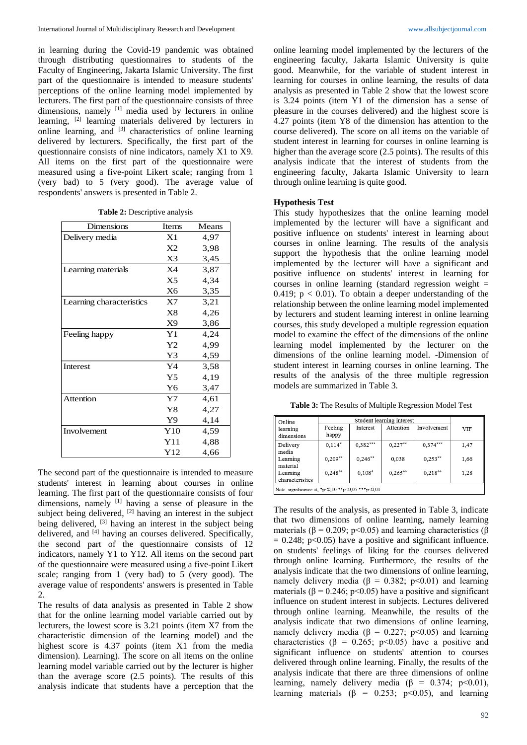in learning during the Covid-19 pandemic was obtained through distributing questionnaires to students of the Faculty of Engineering, Jakarta Islamic University. The first part of the questionnaire is intended to measure students' perceptions of the online learning model implemented by lecturers. The first part of the questionnaire consists of three dimensions, namely [1] media used by lecturers in online learning, [2] learning materials delivered by lecturers in online learning, and <sup>[3]</sup> characteristics of online learning delivered by lecturers. Specifically, the first part of the questionnaire consists of nine indicators, namely X1 to X9. All items on the first part of the questionnaire were measured using a five-point Likert scale; ranging from 1 (very bad) to 5 (very good). The average value of respondents' answers is presented in Table 2.

**Table 2:** Descriptive analysis

| Dimensions               | Items          | Means |
|--------------------------|----------------|-------|
| Delivery media           | X1             | 4,97  |
|                          | X2             | 3,98  |
|                          | X3             | 3,45  |
| Learning materials       | X4             | 3,87  |
|                          | X <sub>5</sub> | 4,34  |
|                          | X6             | 3,35  |
| Learning characteristics | X7             | 3,21  |
|                          | X8             | 4,26  |
|                          | X9             | 3,86  |
| Feeling happy            | Y1             | 4,24  |
|                          | Y2             | 4,99  |
|                          | Y3             | 4,59  |
| Interest                 | Y4             | 3,58  |
|                          | Y <sub>5</sub> | 4,19  |
|                          | Y <sub>6</sub> | 3,47  |
| <b>Attention</b>         | Y7             | 4,61  |
|                          | Y8             | 4,27  |
|                          | Y9             | 4,14  |
| Involvement              | Y10            | 4,59  |
|                          | Y11            | 4,88  |
|                          | Y12            | 4,66  |

The second part of the questionnaire is intended to measure students' interest in learning about courses in online learning. The first part of the questionnaire consists of four dimensions, namely <sup>[1]</sup> having a sense of pleasure in the subject being delivered, <sup>[2]</sup> having an interest in the subject being delivered, <sup>[3]</sup> having an interest in the subject being delivered, and <sup>[4]</sup> having an courses delivered. Specifically, the second part of the questionnaire consists of 12 indicators, namely Y1 to Y12. All items on the second part of the questionnaire were measured using a five-point Likert scale; ranging from 1 (very bad) to 5 (very good). The average value of respondents' answers is presented in Table  $\mathcal{L}$ 

The results of data analysis as presented in Table 2 show that for the online learning model variable carried out by lecturers, the lowest score is 3.21 points (item X7 from the characteristic dimension of the learning model) and the highest score is 4.37 points (item X1 from the media dimension). Learning). The score on all items on the online learning model variable carried out by the lecturer is higher than the average score (2.5 points). The results of this analysis indicate that students have a perception that the

online learning model implemented by the lecturers of the engineering faculty, Jakarta Islamic University is quite good. Meanwhile, for the variable of student interest in learning for courses in online learning, the results of data analysis as presented in Table 2 show that the lowest score is 3.24 points (item Y1 of the dimension has a sense of pleasure in the courses delivered) and the highest score is 4.27 points (item Y8 of the dimension has attention to the course delivered). The score on all items on the variable of student interest in learning for courses in online learning is higher than the average score (2.5 points). The results of this analysis indicate that the interest of students from the engineering faculty, Jakarta Islamic University to learn through online learning is quite good.

#### **Hypothesis Test**

This study hypothesizes that the online learning model implemented by the lecturer will have a significant and positive influence on students' interest in learning about courses in online learning. The results of the analysis support the hypothesis that the online learning model implemented by the lecturer will have a significant and positive influence on students' interest in learning for courses in online learning (standard regression weight  $=$ 0.419;  $p < 0.01$ ). To obtain a deeper understanding of the relationship between the online learning model implemented by lecturers and student learning interest in online learning courses, this study developed a multiple regression equation model to examine the effect of the dimensions of the online learning model implemented by the lecturer on the dimensions of the online learning model. -Dimension of student interest in learning courses in online learning. The results of the analysis of the three multiple regression models are summarized in Table 3.

**Table 3:** The Results of Multiple Regression Model Test

| Online                      | Student learning interest |            |            |                    |            |
|-----------------------------|---------------------------|------------|------------|--------------------|------------|
| learning<br>dimensions      | Feeling<br>happy          | Interest   | Attention  | <b>Involvement</b> | <b>VIF</b> |
| Delivery<br>media           | $0.114*$                  | $0,382***$ | $0.227**$  | $0.374***$         | 1,47       |
| Learning<br>material        | $0,209**$                 | $0,246**$  | 0.038      | $0.253**$          | 1.66       |
| Learning<br>characteristics | $0.248***$                | $0.108*$   | $0,265***$ | $0,218**$          | 1,28       |

The results of the analysis, as presented in Table 3, indicate that two dimensions of online learning, namely learning materials ( $\beta$  = 0.209; p<0.05) and learning characteristics ( $\beta$  $= 0.248$ ; p<0.05) have a positive and significant influence. on students' feelings of liking for the courses delivered through online learning. Furthermore, the results of the analysis indicate that the two dimensions of online learning, namely delivery media ( $\beta = 0.382$ ; p<0.01) and learning materials ( $\beta$  = 0.246; p<0.05) have a positive and significant influence on student interest in subjects. Lectures delivered through online learning. Meanwhile, the results of the analysis indicate that two dimensions of online learning, namely delivery media ( $\beta = 0.227$ ; p<0.05) and learning characteristics ( $\beta = 0.265$ ; p<0.05) have a positive and significant influence on students' attention to courses delivered through online learning. Finally, the results of the analysis indicate that there are three dimensions of online learning, namely delivery media ( $\beta = 0.374$ ; p<0.01), learning materials ( $\beta$  = 0.253; p<0.05), and learning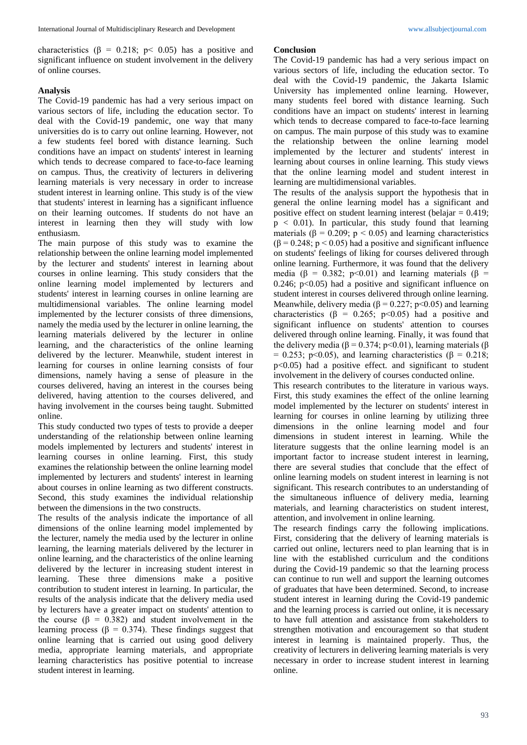characteristics ( $\beta = 0.218$ ; p< 0.05) has a positive and significant influence on student involvement in the delivery of online courses.

#### **Analysis**

The Covid-19 pandemic has had a very serious impact on various sectors of life, including the education sector. To deal with the Covid-19 pandemic, one way that many universities do is to carry out online learning. However, not a few students feel bored with distance learning. Such conditions have an impact on students' interest in learning which tends to decrease compared to face-to-face learning on campus. Thus, the creativity of lecturers in delivering learning materials is very necessary in order to increase student interest in learning online. This study is of the view that students' interest in learning has a significant influence on their learning outcomes. If students do not have an interest in learning then they will study with low enthusiasm.

The main purpose of this study was to examine the relationship between the online learning model implemented by the lecturer and students' interest in learning about courses in online learning. This study considers that the online learning model implemented by lecturers and students' interest in learning courses in online learning are multidimensional variables. The online learning model implemented by the lecturer consists of three dimensions, namely the media used by the lecturer in online learning, the learning materials delivered by the lecturer in online learning, and the characteristics of the online learning delivered by the lecturer. Meanwhile, student interest in learning for courses in online learning consists of four dimensions, namely having a sense of pleasure in the courses delivered, having an interest in the courses being delivered, having attention to the courses delivered, and having involvement in the courses being taught. Submitted online.

This study conducted two types of tests to provide a deeper understanding of the relationship between online learning models implemented by lecturers and students' interest in learning courses in online learning. First, this study examines the relationship between the online learning model implemented by lecturers and students' interest in learning about courses in online learning as two different constructs. Second, this study examines the individual relationship between the dimensions in the two constructs.

The results of the analysis indicate the importance of all dimensions of the online learning model implemented by the lecturer, namely the media used by the lecturer in online learning, the learning materials delivered by the lecturer in online learning, and the characteristics of the online learning delivered by the lecturer in increasing student interest in learning. These three dimensions make a positive contribution to student interest in learning. In particular, the results of the analysis indicate that the delivery media used by lecturers have a greater impact on students' attention to the course ( $\beta = 0.382$ ) and student involvement in the learning process ( $\beta = 0.374$ ). These findings suggest that online learning that is carried out using good delivery media, appropriate learning materials, and appropriate learning characteristics has positive potential to increase student interest in learning.

#### **Conclusion**

The Covid-19 pandemic has had a very serious impact on various sectors of life, including the education sector. To deal with the Covid-19 pandemic, the Jakarta Islamic University has implemented online learning. However, many students feel bored with distance learning. Such conditions have an impact on students' interest in learning which tends to decrease compared to face-to-face learning on campus. The main purpose of this study was to examine the relationship between the online learning model implemented by the lecturer and students' interest in learning about courses in online learning. This study views that the online learning model and student interest in learning are multidimensional variables.

The results of the analysis support the hypothesis that in general the online learning model has a significant and positive effect on student learning interest (belajar = 0.419;  $p < 0.01$ ). In particular, this study found that learning materials ( $\beta = 0.209$ ;  $p < 0.05$ ) and learning characteristics  $(\beta = 0.248; p < 0.05)$  had a positive and significant influence on students' feelings of liking for courses delivered through online learning. Furthermore, it was found that the delivery media (β = 0.382; p < 0.01) and learning materials (β = 0.246;  $p<0.05$ ) had a positive and significant influence on student interest in courses delivered through online learning. Meanwhile, delivery media ( $\beta$  = 0.227; p < 0.05) and learning characteristics ( $\beta$  = 0.265; p<0.05) had a positive and significant influence on students' attention to courses delivered through online learning. Finally, it was found that the delivery media ( $\beta$  = 0.374; p < 0.01), learning materials ( $\beta$ = 0.253; p<0.05), and learning characteristics ( $\beta$  = 0.218;  $p<0.05$ ) had a positive effect. and significant to student involvement in the delivery of courses conducted online.

This research contributes to the literature in various ways. First, this study examines the effect of the online learning model implemented by the lecturer on students' interest in learning for courses in online learning by utilizing three dimensions in the online learning model and four dimensions in student interest in learning. While the literature suggests that the online learning model is an important factor to increase student interest in learning, there are several studies that conclude that the effect of online learning models on student interest in learning is not significant. This research contributes to an understanding of the simultaneous influence of delivery media, learning materials, and learning characteristics on student interest, attention, and involvement in online learning.

The research findings carry the following implications. First, considering that the delivery of learning materials is carried out online, lecturers need to plan learning that is in line with the established curriculum and the conditions during the Covid-19 pandemic so that the learning process can continue to run well and support the learning outcomes of graduates that have been determined. Second, to increase student interest in learning during the Covid-19 pandemic and the learning process is carried out online, it is necessary to have full attention and assistance from stakeholders to strengthen motivation and encouragement so that student interest in learning is maintained properly. Thus, the creativity of lecturers in delivering learning materials is very necessary in order to increase student interest in learning online.